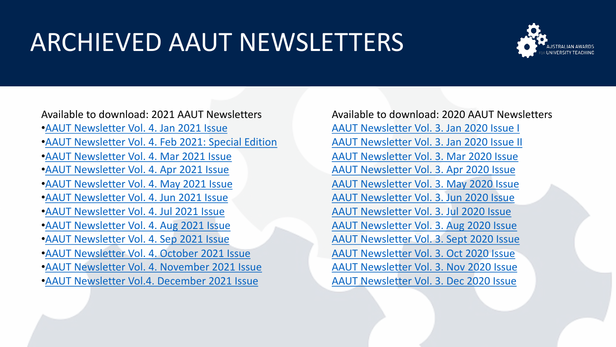## ARCHIEVED AAUT NEWSLETTERS



Available to download: 2021 AAUT Newsletters •[AAUT Newsletter Vol. 4. Jan 2021 Issue](https://aautn.org/wp/wp-content/uploads/2021/08/AAUT-Newsletter-Vol.-4.-Jan-2021-Issue_compressed.pdf) •[AAUT Newsletter Vol. 4. Feb 2021: Special Edition](https://aautn.org/wp/wp-content/uploads/2021/08/AAUT-Newsletter-Vol.-4.-Feb-2021-Special-Edition_compressed.pdf)  •[AAUT Newsletter Vol. 4. Mar 2021 Issue](https://aautn.org/wp/wp-content/uploads/2021/08/AAUT-Newsletter-Vol.-4.-Mar-2021-Issue_compressed.pdf) •[AAUT Newsletter Vol. 4. Apr 2021 Issue](https://aautn.org/wp/wp-content/uploads/2021/08/AAUT-Newsletter-Vol.-4.-Apr-2021-Issue_compressed.pdf)

- •[AAUT Newsletter Vol. 4. May 2021 Issue](https://aautn.org/wp/wp-content/uploads/2021/06/AAUT-Newsletter-Vol.-4.-May-2021-Issue_compressed.pdf)
- •[AAUT Newsletter Vol. 4. Jun 2021 Issue](https://aautn.org/wp/wp-content/uploads/2021/06/AAUT-Newsletter-Vol.-5.-June-2021-Issue_compressed.pdf)
- •[AAUT Newsletter Vol. 4. Jul 2021 Issue](https://aautn.org/wp/wp-content/uploads/2021/08/AAUT-Newsletter-Vol.-4.-Jul-2021-Issue_compressed.pdf)
- •[AAUT Newsletter Vol. 4. Aug 2021 Issue](https://aautn.org/wp/wp-content/uploads/2021/08/AAUT-Newsletter-Vol.-4.-August-2021-Issue_compressed.pdf)
- •[AAUT Newsletter Vol. 4. Sep 2021 Issue](https://aautn.org/wp/wp-content/uploads/2021/09/AAUT-Newsletter-Vol.-4.-September-2021-Issue_compressed.pdf)
- •[AAUT Newsletter Vol. 4. October 2021 Issue](https://aautn.org/wp/wp-content/uploads/2021/10/AAUT-Newsletter-Vol.-4.-October-2021-Issue_compressed.pdf)
- •[AAUT Newsletter Vol. 4. November 2021 Issue](https://aautn.org/wp/wp-content/uploads/2021/11/AAUT-Newsletter-Vol.-4.-November-2021-Issue_compressed.pdf)
- •[AAUT Newsletter Vol.4. December 2021 Issue](https://aautn.org/wp/wp-content/uploads/2021/12/AAUT-Newsletter-Vol.-4.-December-2021-Issue_compressed.pdf)

Available to download: 2020 AAUT Newsletters [AAUT Newsletter Vol. 3. Jan 2020 Issue I](https://aautn.org/wp/wp-content/uploads/2021/04/2020-AAUT-Newsletter-11a_compressed.pdf) [AAUT Newsletter Vol. 3. Jan 2020 Issue II](https://aautn.org/wp/wp-content/uploads/2021/04/2020-AAUT-Newsletter-11b-22-Jan-2020_compressed.pdf) [AAUT Newsletter Vol. 3. Mar 2020 Issue](https://aautn.org/wp/wp-content/uploads/2021/04/AAUT-Newsletter-12-2-March-2021_compressed.pdf) [AAUT Newsletter Vol. 3. Apr 2020 Issue](https://aautn.org/wp/wp-content/uploads/2021/08/AAUT-Newsletter-Vol.-3.-Apr-2020-Issue_compressed.pdf) [AAUT Newsletter Vol. 3. May 2020 Issue](https://aautn.org/wp/wp-content/uploads/2021/08/AAUT-Newsletter-Vol.-3.-May-2020-Issue.pdf) [AAUT Newsletter Vol. 3. Jun 2020 Issue](https://aautn.org/wp/wp-content/uploads/2021/08/AAUT-Newsletter-Vol.-3.-Jun-2020-Issue.pdf) [AAUT Newsletter Vol. 3. Jul 2020 Issue](https://aautn.org/wp/wp-content/uploads/2021/08/AAUT-Newsletter-Vol.-3.-Jul-2020-Issue-_compressed.pdf) [AAUT Newsletter Vol. 3. Aug 2020 Issue](https://aautn.org/wp/wp-content/uploads/2021/08/AAUT-Newsletter-Vol.-3.-Aug-2020-Issue_compressed.pdf) [AAUT Newsletter Vol. 3. Sept 2020 Issue](https://aautn.org/wp/wp-content/uploads/2021/08/AAUT-Newsletter-Vol.-3.-Sept-2020-Issue_compressed.pdf) [AAUT Newsletter Vol. 3. Oct 2020 Issue](https://aautn.org/wp/wp-content/uploads/2021/08/AAUT-Newsletter-Vol.-3.-Oct-2020-Issue_compressed.pdf) [AAUT Newsletter Vol. 3. Nov 2020 Issue](https://aautn.org/wp/wp-content/uploads/2021/08/AAUT-Newsletter-Vol.-3.-Nov-2020-Issue_compressed.pdf) [AAUT Newsletter Vol. 3. Dec 2020 Issue](https://aautn.org/wp/wp-content/uploads/2021/08/AAUT-Newsletter-Vol.-3.-Dec-2020-Issue_compressed.pdf)